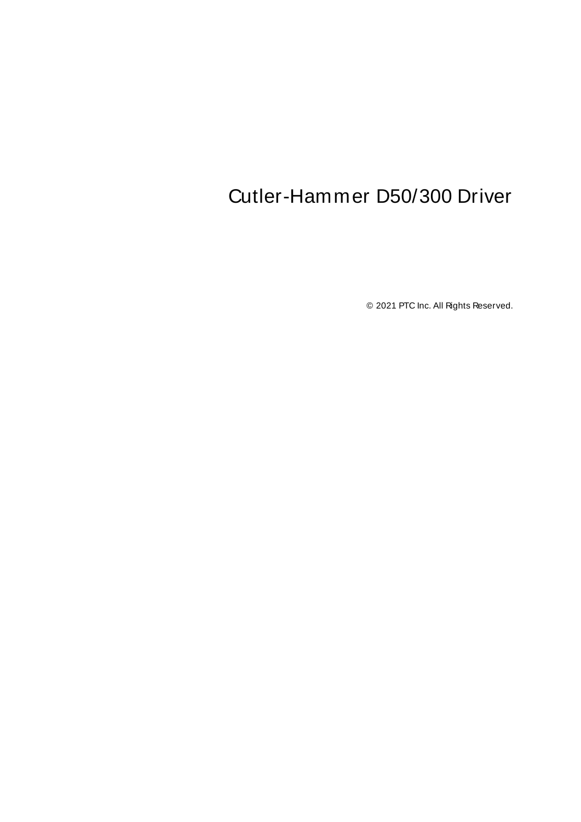# <span id="page-0-0"></span>Cutler-Hammer D50/300 Driver

© 2021 PTC Inc. All Rights Reserved.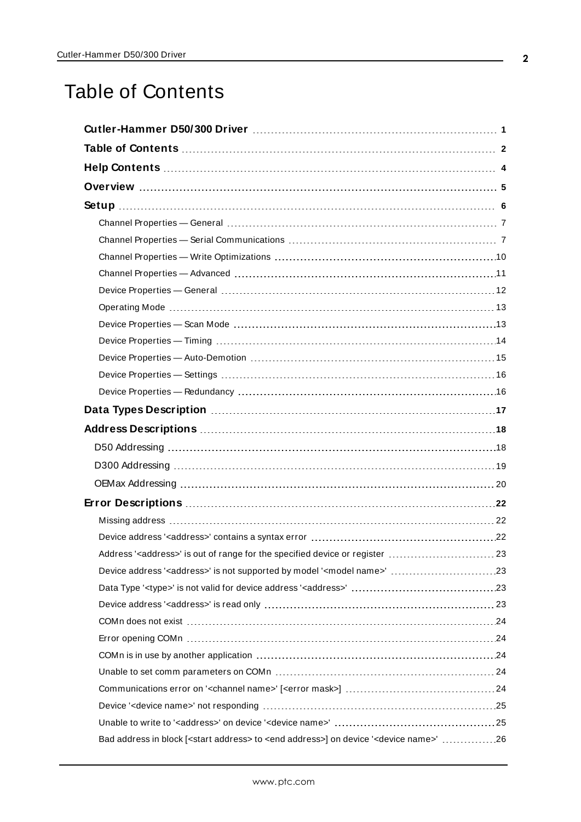# <span id="page-1-0"></span>Table of Contents

| Data Types Description manufacture and the control of the USA of the USA of the USA of the USA of the USA of t        |  |
|-----------------------------------------------------------------------------------------------------------------------|--|
|                                                                                                                       |  |
|                                                                                                                       |  |
|                                                                                                                       |  |
|                                                                                                                       |  |
|                                                                                                                       |  |
|                                                                                                                       |  |
|                                                                                                                       |  |
| Address' <address>' is out of range for the specified device or register  23</address>                                |  |
| Device address ' <address>' is not supported by model '<model name="">' 23</model></address>                          |  |
|                                                                                                                       |  |
|                                                                                                                       |  |
|                                                                                                                       |  |
|                                                                                                                       |  |
|                                                                                                                       |  |
|                                                                                                                       |  |
|                                                                                                                       |  |
|                                                                                                                       |  |
|                                                                                                                       |  |
| Bad address in block [ <start address=""> to <end address="">] on device '<device name="">' 26</device></end></start> |  |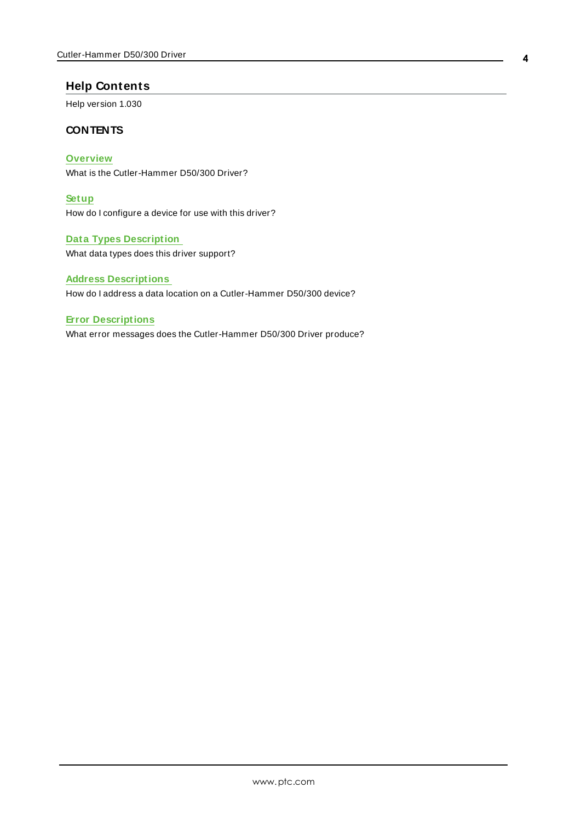## <span id="page-3-0"></span>**Help Contents**

Help version 1.030

#### **CONTENTS**

**[Overview](#page-4-0)** What is the Cutler-Hammer D50/300 Driver?

**[Setup](#page-5-0)** How do I configure a device for use with this driver?

**Data Types [Description](#page-16-0)** What data types does this driver support?

# **Address [Descriptions](#page-17-0)**

How do I address a data location on a Cutler-Hammer D50/300 device?

#### **Error [Descriptions](#page-21-0)**

What error messages does the Cutler-Hammer D50/300 Driver produce?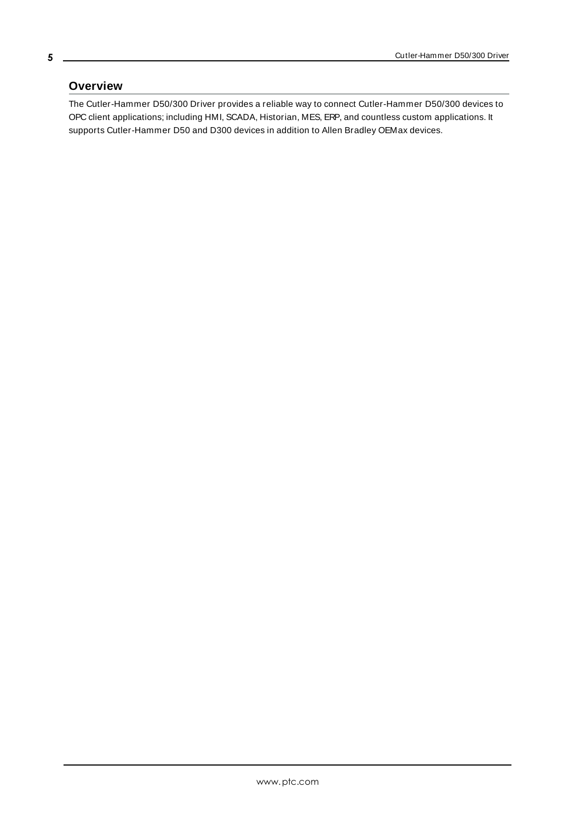# <span id="page-4-1"></span>**Overview**

The Cutler-Hammer D50/300 Driver provides a reliable way to connect Cutler-Hammer D50/300 devices to OPC client applications; including HMI, SCADA, Historian, MES, ERP, and countless custom applications. It supports Cutler-Hammer D50 and D300 devices in addition to Allen Bradley OEMax devices.

<span id="page-4-0"></span>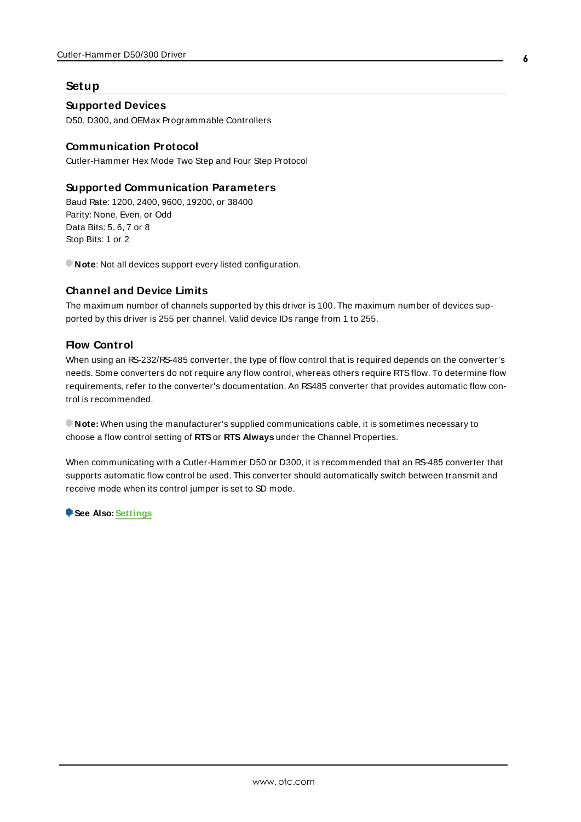#### <span id="page-5-0"></span>**Setup**

#### **Supported Devices**

D50, D300, and OEMax Programmable Controllers

#### <span id="page-5-4"></span>**Communication Protocol**

Cutler-Hammer Hex Mode Two Step and Four Step Protocol

## <span id="page-5-1"></span>**Supported Communication Parameters**

<span id="page-5-7"></span><span id="page-5-5"></span><span id="page-5-2"></span>Baud Rate: 1200, 2400, 9600, 19200, or 38400 Parity: None, Even, or Odd Data Bits: 5, 6, 7 or 8 Stop Bits: 1 or 2

<span id="page-5-3"></span>**Note**: Not all devices support every listed configuration.

#### **Channel and Device Limits**

The maximum number of channels supported by this driver is 100. The maximum number of devices supported by this driver is 255 per channel. Valid device IDs range from 1 to 255.

#### <span id="page-5-6"></span>**Flow Control**

When using an RS-232/RS-485 converter, the type of flow control that is required depends on the converter's needs. Some converters do not require any flow control, whereas others require RTSflow. To determine flow requirements, refer to the converter's documentation. An RS485 converter that provides automatic flow control is recommended.

**Note:** When using the manufacturer's supplied communications cable, it is sometimes necessary to choose a flow control setting of **RTS**or **RTS Always** under the Channel Properties.

When communicating with a Cutler-Hammer D50 or D300, it is recommended that an RS-485 converter that supports automatic flow control be used. This converter should automatically switch between transmit and receive mode when its control jumper is set to SD mode.

**See Also: [Settings](#page-15-0)**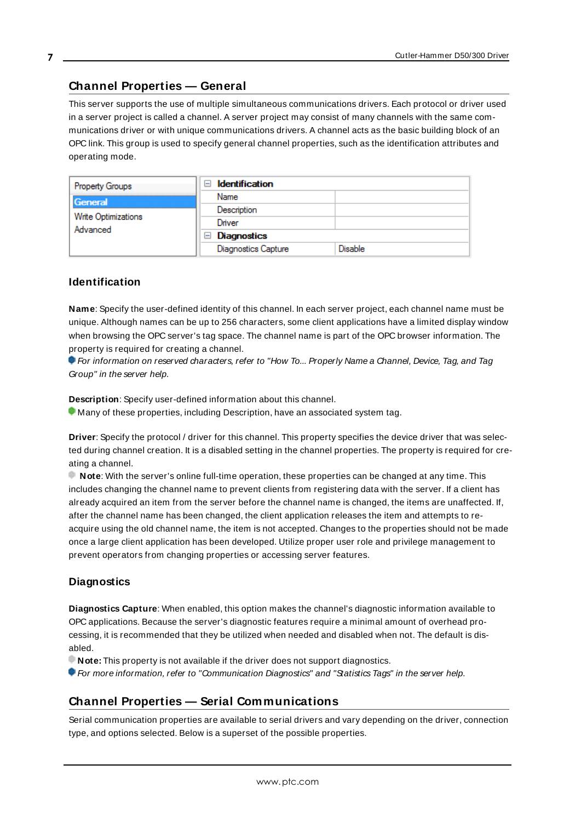# <span id="page-6-0"></span>**Channel Properties — General**

This server supports the use of multiple simultaneous communications drivers. Each protocol or driver used in a server project is called a channel. A server project may consist of many channels with the same communications driver or with unique communications drivers. A channel acts as the basic building block of an OPC link. This group is used to specify general channel properties, such as the identification attributes and operating mode.

| <b>Property Groups</b>          | <b>Identification</b><br>$\blacksquare$ |                |
|---------------------------------|-----------------------------------------|----------------|
| <b>General</b>                  | Name                                    |                |
|                                 | Description                             |                |
| Write Optimizations<br>Advanced | Driver                                  |                |
|                                 | Diagnostics<br>$\overline{}$            |                |
|                                 | <b>Diagnostics Capture</b>              | <b>Disable</b> |

## **Identification**

**Name**: Specify the user-defined identity of this channel. In each server project, each channel name must be unique. Although names can be up to 256 characters, some client applications have a limited display window when browsing the OPC server's tag space. The channel name is part of the OPC browser information. The property is required for creating a channel.

For information on reserved characters, refer to "How To... Properly Name a Channel, Device, Tag, and Tag Group" in the server help.

**Description**: Specify user-defined information about this channel.

Many of these properties, including Description, have an associated system tag.

**Driver**: Specify the protocol / driver for this channel. This property specifies the device driver that was selected during channel creation. It is a disabled setting in the channel properties. The property is required for creating a channel.

**Note**: With the server's online full-time operation, these properties can be changed at any time. This includes changing the channel name to prevent clients from registering data with the server. If a client has already acquired an item from the server before the channel name is changed, the items are unaffected. If, after the channel name has been changed, the client application releases the item and attempts to reacquire using the old channel name, the item is not accepted. Changes to the properties should not be made once a large client application has been developed. Utilize proper user role and privilege management to prevent operators from changing properties or accessing server features.

## **Diagnostics**

**Diagnostics Capture**: When enabled, this option makes the channel's diagnostic information available to OPC applications. Because the server's diagnostic features require a minimal amount of overhead processing, it is recommended that they be utilized when needed and disabled when not. The default is disabled.

**Note:** This property is not available if the driver does not support diagnostics.

<span id="page-6-1"></span>For more information, refer to "Communication Diagnostics" and "Statistics Tags" in the server help.

# **Channel Properties — Serial Communications**

Serial communication properties are available to serial drivers and vary depending on the driver, connection type, and options selected. Below is a superset of the possible properties.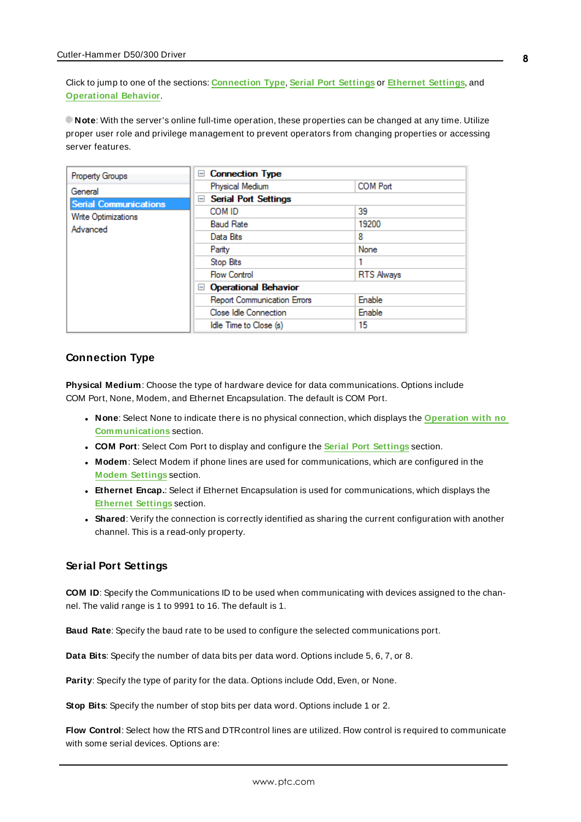Click to jump to one of the sections: **[Connection](#page-7-0) Type**, **Serial Port [Settings](#page-7-1)** or **[Ethernet](#page-8-0) Settings**, and **[Operational](#page-8-1) Behavior**.

**Note**: With the server's online full-time operation, these properties can be changed at any time. Utilize proper user role and privilege management to prevent operators from changing properties or accessing server features.

| Property Groups              | <b>Connection Type</b><br>$-$      |                   |  |
|------------------------------|------------------------------------|-------------------|--|
| General                      | Physical Medium                    | <b>COM Port</b>   |  |
| <b>Serial Communications</b> | <b>Serial Port Settings</b><br>$=$ |                   |  |
| <b>Write Optimizations</b>   | COM ID                             | 39                |  |
| Advanced                     | <b>Baud Rate</b>                   | 19200             |  |
|                              | Data Bits                          | 8                 |  |
|                              | Parity                             | None              |  |
|                              | Stop Bits                          |                   |  |
|                              | <b>Flow Control</b>                | <b>RTS Always</b> |  |
|                              | <b>Operational Behavior</b><br>$-$ |                   |  |
|                              | Report Communication Errors        | Enable            |  |
|                              | Close Idle Connection              | Enable            |  |
|                              | Idle Time to Close (s)             | 15                |  |

#### <span id="page-7-0"></span>**Connection Type**

**Physical Medium**: Choose the type of hardware device for data communications. Options include COM Port, None, Modem, and Ethernet Encapsulation. The default is COM Port.

- <sup>l</sup> **None**: Select None to indicate there is no physical connection, which displays the **[Operation](#page-9-1) with no [Communications](#page-9-1)** section.
- <sup>l</sup> **COM Port**: Select Com Port to display and configure the **Serial Port [Settings](#page-7-1)** section.
- **Modem**: Select Modem if phone lines are used for communications, which are configured in the **Modem [Settings](#page-8-2)** section.
- **Ethernet Encap.**: Select if Ethernet Encapsulation is used for communications, which displays the **[Ethernet](#page-8-0) Settings** section.
- **Shared**: Verify the connection is correctly identified as sharing the current configuration with another channel. This is a read-only property.

## <span id="page-7-1"></span>**Serial Port Settings**

**COM ID**: Specify the Communications ID to be used when communicating with devices assigned to the channel. The valid range is 1 to 9991 to 16. The default is 1.

**Baud Rate**: Specify the baud rate to be used to configure the selected communications port.

**Data Bits**: Specify the number of data bits per data word. Options include 5, 6, 7, or 8.

**Parity**: Specify the type of parity for the data. Options include Odd, Even, or None.

**Stop Bits**: Specify the number of stop bits per data word. Options include 1 or 2.

Flow Control: Select how the RTS and DTR control lines are utilized. Flow control is required to communicate with some serial devices. Options are: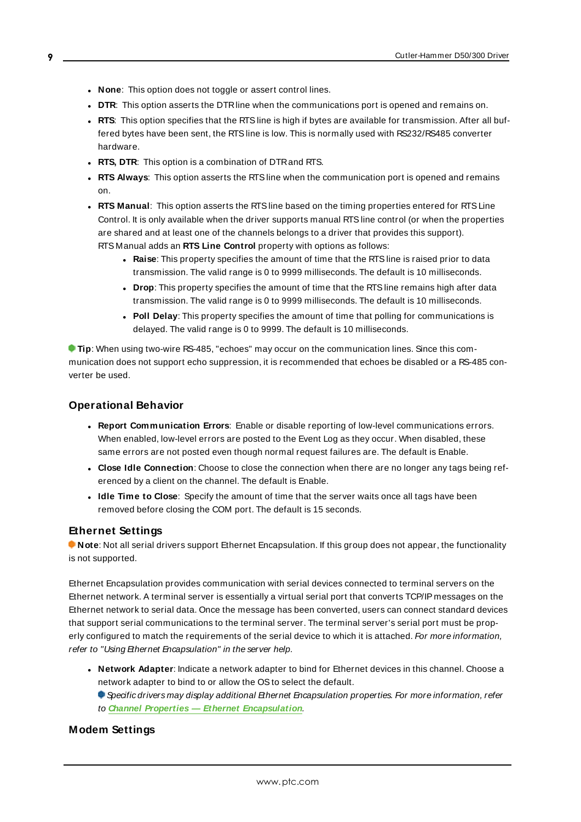- **None:** This option does not toggle or assert control lines.
- **DTR:** This option asserts the DTR line when the communications port is opened and remains on.
- RTS: This option specifies that the RTS line is high if bytes are available for transmission. After all buffered bytes have been sent, the RTSline is low. This is normally used with RS232/RS485 converter hardware.
- **RTS, DTR:** This option is a combination of DTR and RTS.
- <sup>l</sup> **RTS Always**: This option asserts the RTSline when the communication port is opened and remains on.
- <sup>l</sup> **RTS Manual**: This option asserts the RTSline based on the timing properties entered for RTSLine Control. It is only available when the driver supports manual RTSline control (or when the properties are shared and at least one of the channels belongs to a driver that provides this support). RTS Manual adds an **RTS Line Control** property with options as follows:
	- **Raise**: This property specifies the amount of time that the RTS line is raised prior to data transmission. The valid range is 0 to 9999 milliseconds. The default is 10 milliseconds.
	- **Drop**: This property specifies the amount of time that the RTS line remains high after data transmission. The valid range is 0 to 9999 milliseconds. The default is 10 milliseconds.
	- **Poll Delay:** This property specifies the amount of time that polling for communications is delayed. The valid range is 0 to 9999. The default is 10 milliseconds.

**Tip**: When using two-wire RS-485, "echoes" may occur on the communication lines. Since this communication does not support echo suppression, it is recommended that echoes be disabled or a RS-485 converter be used.

## <span id="page-8-1"></span>**Operational Behavior**

- <sup>l</sup> **Report Communication Errors**: Enable or disable reporting of low-level communications errors. When enabled, low-level errors are posted to the Event Log as they occur. When disabled, these same errors are not posted even though normal request failures are. The default is Enable.
- <sup>l</sup> **Close Idle Connection**: Choose to close the connection when there are no longer any tags being referenced by a client on the channel. The default is Enable.
- <sup>l</sup> **Idle Time to Close**: Specify the amount of time that the server waits once all tags have been removed before closing the COM port. The default is 15 seconds.

#### <span id="page-8-0"></span>**Ethernet Settings**

**Note**: Not all serial drivers support Ethernet Encapsulation. If this group does not appear, the functionality is not supported.

Ethernet Encapsulation provides communication with serial devices connected to terminal servers on the Ethernet network. A terminal server is essentially a virtual serial port that converts TCP/IP messages on the Ethernet network to serial data. Once the message has been converted, users can connect standard devices that support serial communications to the terminal server. The terminal server's serial port must be properly configured to match the requirements of the serial device to which it is attached. For more information, refer to "Using Ethernet Encapsulation" in the server help.

- **Network Adapter**: Indicate a network adapter to bind for Ethernet devices in this channel. Choose a network adapter to bind to or allow the OSto select the default.
	- Specific drivers may display additional Ethernet Encapsulation properties. For more information, refer to **Channel Properties — Ethernet Encapsulation**.

## <span id="page-8-2"></span>**Modem Settings**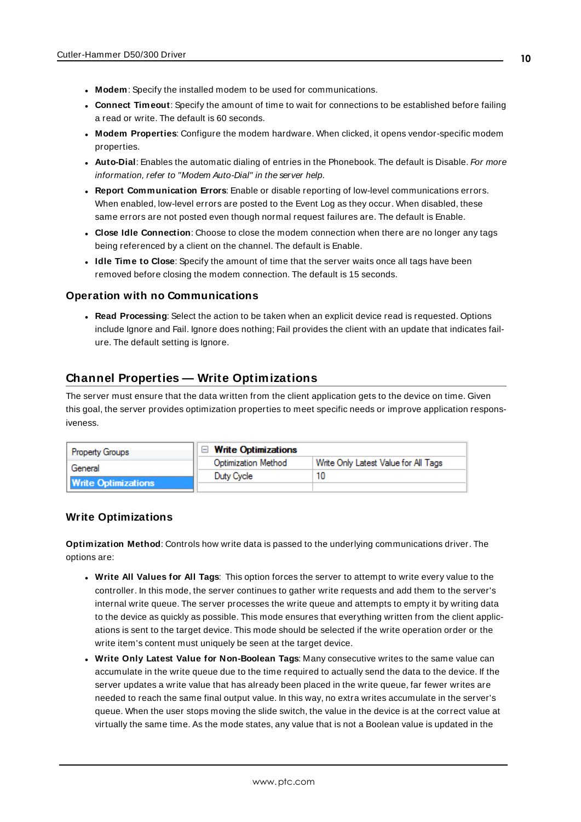- **Modem**: Specify the installed modem to be used for communications.
- **Connect Timeout**: Specify the amount of time to wait for connections to be established before failing a read or write. The default is 60 seconds.
- <sup>l</sup> **Modem Properties**: Configure the modem hardware. When clicked, it opens vendor-specific modem properties.
- **Auto-Dial**: Enables the automatic dialing of entries in the Phonebook. The default is Disable. For more information, refer to "Modem Auto-Dial" in the server help.
- <sup>l</sup> **Report Communication Errors**: Enable or disable reporting of low-level communications errors. When enabled, low-level errors are posted to the Event Log as they occur. When disabled, these same errors are not posted even though normal request failures are. The default is Enable.
- **Close Idle Connection**: Choose to close the modem connection when there are no longer any tags being referenced by a client on the channel. The default is Enable.
- <sup>l</sup> **Idle Time to Close**: Specify the amount of time that the server waits once all tags have been removed before closing the modem connection. The default is 15 seconds.

#### <span id="page-9-1"></span>**Operation with no Communications**

**Read Processing**: Select the action to be taken when an explicit device read is requested. Options include Ignore and Fail. Ignore does nothing; Fail provides the client with an update that indicates failure. The default setting is Ignore.

# <span id="page-9-0"></span>**Channel Properties — Write Optimizations**

The server must ensure that the data written from the client application gets to the device on time. Given this goal, the server provides optimization properties to meet specific needs or improve application responsiveness.

| <b>Property Groups</b>     | $\Box$ Write Optimizations |                                      |
|----------------------------|----------------------------|--------------------------------------|
| General                    | <b>Optimization Method</b> | Write Only Latest Value for All Tags |
|                            | Duty Cycle                 |                                      |
| <b>Write Optimizations</b> |                            |                                      |

#### **Write Optimizations**

**Optimization Method**: Controls how write data is passed to the underlying communications driver. The options are:

- <sup>l</sup> **Write All Values for All Tags**: This option forces the server to attempt to write every value to the controller. In this mode, the server continues to gather write requests and add them to the server's internal write queue. The server processes the write queue and attempts to empty it by writing data to the device as quickly as possible. This mode ensures that everything written from the client applications is sent to the target device. This mode should be selected if the write operation order or the write item's content must uniquely be seen at the target device.
- <sup>l</sup> **Write Only Latest Value for Non-Boolean Tags**: Many consecutive writes to the same value can accumulate in the write queue due to the time required to actually send the data to the device. If the server updates a write value that has already been placed in the write queue, far fewer writes are needed to reach the same final output value. In this way, no extra writes accumulate in the server's queue. When the user stops moving the slide switch, the value in the device is at the correct value at virtually the same time. As the mode states, any value that is not a Boolean value is updated in the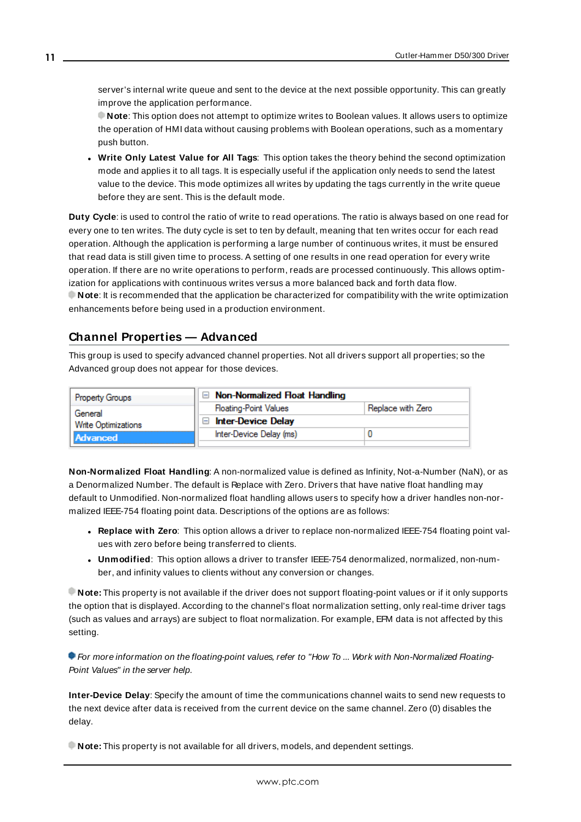server's internal write queue and sent to the device at the next possible opportunity. This can greatly improve the application performance.

**Note**: This option does not attempt to optimize writes to Boolean values. It allows users to optimize the operation of HMI data without causing problems with Boolean operations, such as a momentary push button.

**• Write Only Latest Value for All Tags**: This option takes the theory behind the second optimization mode and applies it to all tags. It is especially useful if the application only needs to send the latest value to the device. This mode optimizes all writes by updating the tags currently in the write queue before they are sent. This is the default mode.

**Duty Cycle**: is used to control the ratio of write to read operations. The ratio is always based on one read for every one to ten writes. The duty cycle is set to ten by default, meaning that ten writes occur for each read operation. Although the application is performing a large number of continuous writes, it must be ensured that read data is still given time to process. A setting of one results in one read operation for every write operation. If there are no write operations to perform, reads are processed continuously. This allows optimization for applications with continuous writes versus a more balanced back and forth data flow. **Note**: It is recommended that the application be characterized for compatibility with the write optimization enhancements before being used in a production environment.

# <span id="page-10-0"></span>**Channel Properties — Advanced**

This group is used to specify advanced channel properties. Not all drivers support all properties; so the Advanced group does not appear for those devices.

| <b>Property Groups</b> | Non-Normalized Float Handling |                   |
|------------------------|-------------------------------|-------------------|
| General                | <b>Floating-Point Values</b>  | Replace with Zero |
| Write Optimizations    | <b>Inter-Device Delay</b>     |                   |
| Advanced               | Inter-Device Delay (ms)       |                   |
|                        |                               |                   |

**Non-Normalized Float Handling**: A non-normalized value is defined as Infinity, Not-a-Number (NaN), or as a Denormalized Number. The default is Replace with Zero. Drivers that have native float handling may default to Unmodified. Non-normalized float handling allows users to specify how a driver handles non-normalized IEEE-754 floating point data. Descriptions of the options are as follows:

- <sup>l</sup> **Replace with Zero**: This option allows a driver to replace non-normalized IEEE-754 floating point values with zero before being transferred to clients.
- <sup>l</sup> **Unmodified**: This option allows a driver to transfer IEEE-754 denormalized, normalized, non-number, and infinity values to clients without any conversion or changes.

**Note:** This property is not available if the driver does not support floating-point values or if it only supports the option that is displayed. According to the channel's float normalization setting, only real-time driver tags (such as values and arrays) are subject to float normalization. For example, EFM data is not affected by this setting.

For more information on the floating-point values, refer to "How To ... Work with Non-Normalized Floating-Point Values" in the server help.

**Inter-Device Delay**: Specify the amount of time the communications channel waits to send new requests to the next device after data is received from the current device on the same channel. Zero (0) disables the delay.

**Note:** This property is not available for all drivers, models, and dependent settings.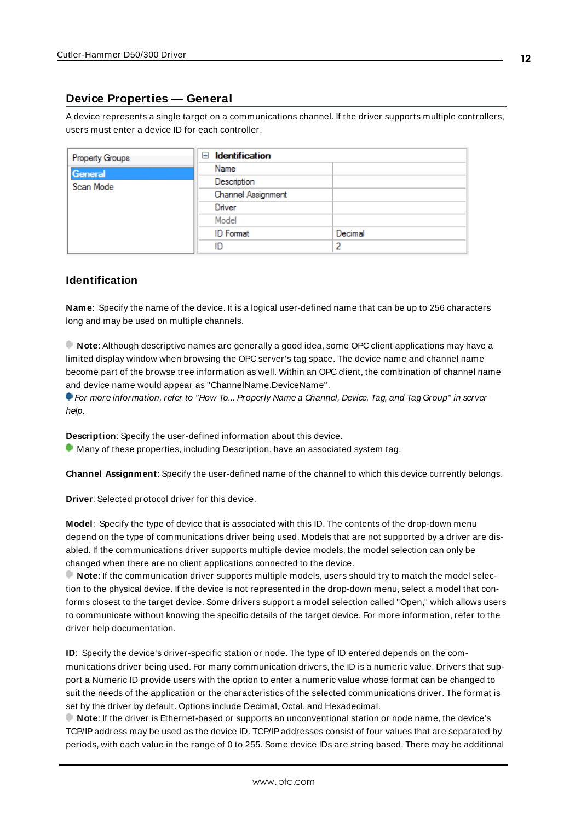# <span id="page-11-0"></span>**Device Properties — General**

A device represents a single target on a communications channel. If the driver supports multiple controllers, users must enter a device ID for each controller.

| <b>Property Groups</b> | <b>Identification</b><br>$=$ |         |
|------------------------|------------------------------|---------|
| General                | Name                         |         |
| Scan Mode              | Description                  |         |
|                        | Channel Assignment           |         |
|                        | Driver                       |         |
|                        | Model                        |         |
|                        | <b>ID</b> Format             | Decimal |
|                        | ID                           |         |

#### <span id="page-11-5"></span>**Identification**

**Name**: Specify the name of the device. It is a logical user-defined name that can be up to 256 characters long and may be used on multiple channels.

**Note**: Although descriptive names are generally a good idea, some OPC client applications may have a limited display window when browsing the OPC server's tag space. The device name and channel name become part of the browse tree information as well. Within an OPC client, the combination of channel name and device name would appear as "ChannelName.DeviceName".

For more information, refer to "How To... Properly Name a Channel, Device, Tag, and Tag Group" in server help.

**Description**: Specify the user-defined information about this device.

<span id="page-11-1"></span> $\bullet$  Many of these properties, including Description, have an associated system tag.

<span id="page-11-2"></span>**Channel Assignment**: Specify the user-defined name of the channel to which this device currently belongs.

<span id="page-11-4"></span>**Driver**: Selected protocol driver for this device.

**Model**: Specify the type of device that is associated with this ID. The contents of the drop-down menu depend on the type of communications driver being used. Models that are not supported by a driver are disabled. If the communications driver supports multiple device models, the model selection can only be changed when there are no client applications connected to the device.

**Note:** If the communication driver supports multiple models, users should try to match the model selection to the physical device. If the device is not represented in the drop-down menu, select a model that conforms closest to the target device. Some drivers support a model selection called "Open," which allows users to communicate without knowing the specific details of the target device. For more information, refer to the driver help documentation.

<span id="page-11-3"></span>**ID**: Specify the device's driver-specific station or node. The type of ID entered depends on the communications driver being used. For many communication drivers, the ID is a numeric value. Drivers that support a Numeric ID provide users with the option to enter a numeric value whose format can be changed to suit the needs of the application or the characteristics of the selected communications driver. The format is set by the driver by default. Options include Decimal, Octal, and Hexadecimal.

**Note**: If the driver is Ethernet-based or supports an unconventional station or node name, the device's TCP/IPaddress may be used as the device ID. TCP/IPaddresses consist of four values that are separated by periods, with each value in the range of 0 to 255. Some device IDs are string based. There may be additional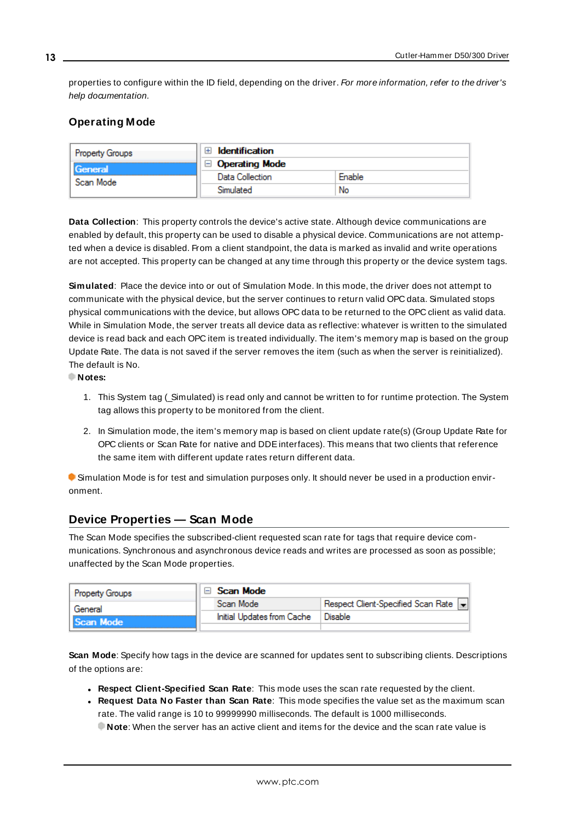properties to configure within the ID field, depending on the driver. For more information, refer to the driver's help documentation.

# <span id="page-12-0"></span>**Operating Mode**

| <b>Property Groups</b> | Identification        |        |
|------------------------|-----------------------|--------|
| General                | $\Box$ Operating Mode |        |
| Scan Mode              | Data Collection       | Enable |
|                        | Simulated             | No     |

<span id="page-12-2"></span>**Data Collection**: This property controls the device's active state. Although device communications are enabled by default, this property can be used to disable a physical device. Communications are not attempted when a device is disabled. From a client standpoint, the data is marked as invalid and write operations are not accepted. This property can be changed at any time through this property or the device system tags.

<span id="page-12-4"></span>**Simulated**: Place the device into or out of Simulation Mode. In this mode, the driver does not attempt to communicate with the physical device, but the server continues to return valid OPC data. Simulated stops physical communications with the device, but allows OPC data to be returned to the OPC client as valid data. While in Simulation Mode, the server treats all device data as reflective: whatever is written to the simulated device is read back and each OPC item is treated individually. The item's memory map is based on the group Update Rate. The data is not saved if the server removes the item (such as when the server is reinitialized). The default is No.

**Notes:**

- 1. This System tag (Simulated) is read only and cannot be written to for runtime protection. The System tag allows this property to be monitored from the client.
- 2. In Simulation mode, the item's memory map is based on client update rate(s) (Group Update Rate for OPC clients or Scan Rate for native and DDEinterfaces). This means that two clients that reference the same item with different update rates return different data.

 Simulation Mode is for test and simulation purposes only. It should never be used in a production environment.

# <span id="page-12-1"></span>**Device Properties — Scan Mode**

The Scan Mode specifies the subscribed-client requested scan rate for tags that require device communications. Synchronous and asynchronous device reads and writes are processed as soon as possible; unaffected by the Scan Mode properties.

| <b>Property Groups</b> | Scan Mode                  |                                      |
|------------------------|----------------------------|--------------------------------------|
| General                | Scan Mode                  | Respect Client-Specified Scan Rate v |
| Scan Mode              | Initial Updates from Cache | Disable                              |
|                        |                            |                                      |

<span id="page-12-3"></span>**Scan Mode**: Specify how tags in the device are scanned for updates sent to subscribing clients. Descriptions of the options are:

- <sup>l</sup> **Respect Client-Specified Scan Rate**: This mode uses the scan rate requested by the client.
- <sup>l</sup> **Request Data No Faster than Scan Rate**: This mode specifies the value set as the maximum scan rate. The valid range is 10 to 99999990 milliseconds. The default is 1000 milliseconds.

**Note**: When the server has an active client and items for the device and the scan rate value is

**13**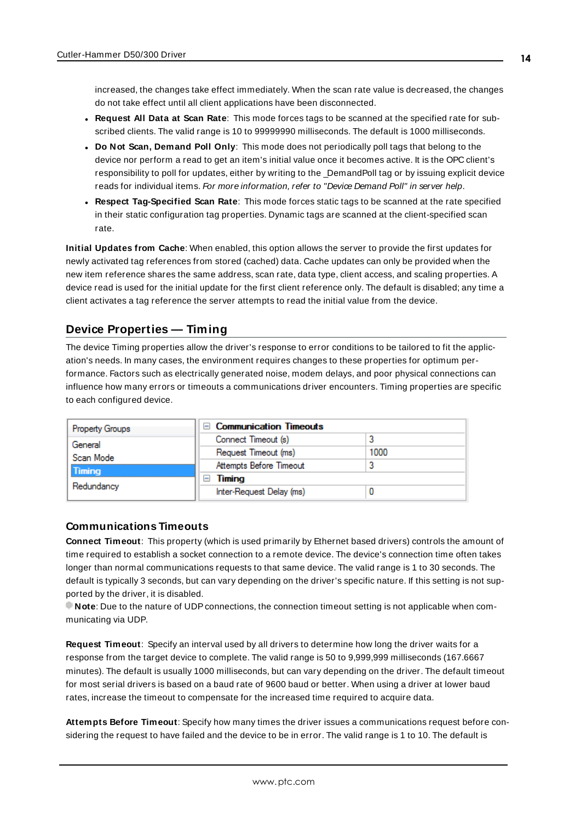increased, the changes take effect immediately. When the scan rate value is decreased, the changes do not take effect until all client applications have been disconnected.

- <span id="page-13-3"></span><sup>l</sup> **Request All Data at Scan Rate**: This mode forces tags to be scanned at the specified rate for subscribed clients. The valid range is 10 to 99999990 milliseconds. The default is 1000 milliseconds.
- <sup>l</sup> **Do Not Scan, Demand Poll Only**: This mode does not periodically poll tags that belong to the device nor perform a read to get an item's initial value once it becomes active. It is the OPC client's responsibility to poll for updates, either by writing to the \_DemandPoll tag or by issuing explicit device reads for individual items. For more information, refer to "Device Demand Poll" in server help.
- <span id="page-13-6"></span><sup>l</sup> **Respect Tag-Specified Scan Rate**: This mode forces static tags to be scanned at the rate specified in their static configuration tag properties. Dynamic tags are scanned at the client-specified scan rate.

<span id="page-13-4"></span>**Initial Updates from Cache**: When enabled, this option allows the server to provide the first updates for newly activated tag references from stored (cached) data. Cache updates can only be provided when the new item reference shares the same address, scan rate, data type, client access, and scaling properties. A device read is used for the initial update for the first client reference only. The default is disabled; any time a client activates a tag reference the server attempts to read the initial value from the device.

# <span id="page-13-1"></span><span id="page-13-0"></span>**Device Properties — Timing**

The device Timing properties allow the driver's response to error conditions to be tailored to fit the application's needs. In many cases, the environment requires changes to these properties for optimum performance. Factors such as electrically generated noise, modem delays, and poor physical connections can influence how many errors or timeouts a communications driver encounters. Timing properties are specific to each configured device.

| <b>Property Groups</b> | □ Communication Timeouts |      |
|------------------------|--------------------------|------|
| General                | Connect Timeout (s)      |      |
| Scan Mode              | Request Timeout (ms)     | 1000 |
| Timing                 | Attempts Before Timeout  |      |
| Redundancy             | Timing<br>ь              |      |
|                        | Inter-Request Delay (ms) |      |

#### <span id="page-13-2"></span>**Communications Timeouts**

**Connect Timeout**: This property (which is used primarily by Ethernet based drivers) controls the amount of time required to establish a socket connection to a remote device. The device's connection time often takes longer than normal communications requests to that same device. The valid range is 1 to 30 seconds. The default is typically 3 seconds, but can vary depending on the driver's specific nature. If this setting is not supported by the driver, it is disabled.

**Note:** Due to the nature of UDP connections, the connection timeout setting is not applicable when communicating via UDP.

<span id="page-13-5"></span>**Request Timeout**: Specify an interval used by all drivers to determine how long the driver waits for a response from the target device to complete. The valid range is 50 to 9,999,999 milliseconds (167.6667 minutes). The default is usually 1000 milliseconds, but can vary depending on the driver. The default timeout for most serial drivers is based on a baud rate of 9600 baud or better. When using a driver at lower baud rates, increase the timeout to compensate for the increased time required to acquire data.

**Attempts Before Timeout**: Specify how many times the driver issues a communications request before considering the request to have failed and the device to be in error. The valid range is 1 to 10. The default is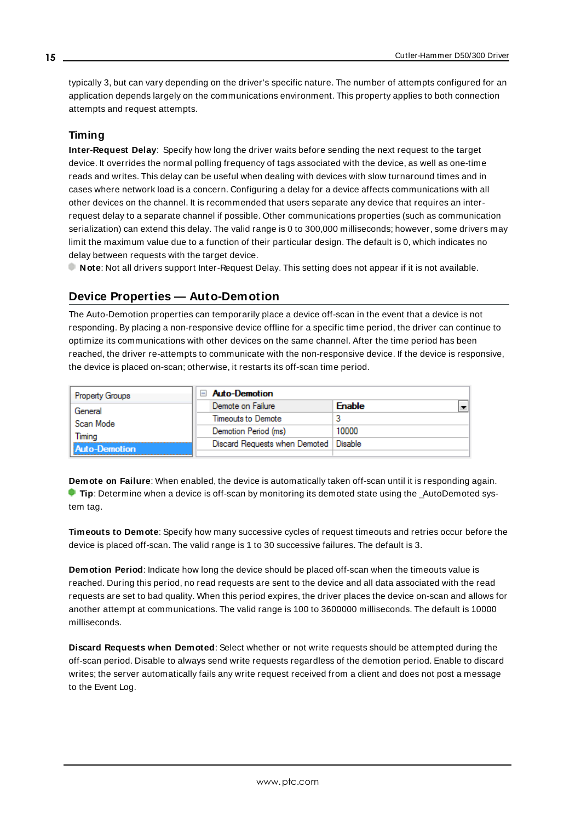<span id="page-14-1"></span>typically 3, but can vary depending on the driver's specific nature. The number of attempts configured for an application depends largely on the communications environment. This property applies to both connection attempts and request attempts.

# <span id="page-14-5"></span>**Timing**

**Inter-Request Delay**: Specify how long the driver waits before sending the next request to the target device. It overrides the normal polling frequency of tags associated with the device, as well as one-time reads and writes. This delay can be useful when dealing with devices with slow turnaround times and in cases where network load is a concern. Configuring a delay for a device affects communications with all other devices on the channel. It is recommended that users separate any device that requires an interrequest delay to a separate channel if possible. Other communications properties (such as communication serialization) can extend this delay. The valid range is 0 to 300,000 milliseconds; however, some drivers may limit the maximum value due to a function of their particular design. The default is 0, which indicates no delay between requests with the target device.

<span id="page-14-0"></span>**Note**: Not all drivers support Inter-Request Delay. This setting does not appear if it is not available.

# **Device Properties — Auto-Demotion**

The Auto-Demotion properties can temporarily place a device off-scan in the event that a device is not responding. By placing a non-responsive device offline for a specific time period, the driver can continue to optimize its communications with other devices on the same channel. After the time period has been reached, the driver re-attempts to communicate with the non-responsive device. If the device is responsive, the device is placed on-scan; otherwise, it restarts its off-scan time period.

| <b>Property Groups</b> |                      | <b>Auto-Demotion</b>                    |               |  |
|------------------------|----------------------|-----------------------------------------|---------------|--|
|                        | General              | Demote on Failure                       | <b>Enable</b> |  |
|                        | Scan Mode            | Timeouts to Demote                      |               |  |
|                        | Timina               | Demotion Period (ms)                    | 10000         |  |
|                        | <b>Auto-Demotion</b> | Discard Requests when Demoted   Disable |               |  |
|                        |                      |                                         |               |  |

<span id="page-14-2"></span>**Demote on Failure**: When enabled, the device is automatically taken off-scan until it is responding again. **Tip:** Determine when a device is off-scan by monitoring its demoted state using the \_AutoDemoted system tag.

<span id="page-14-6"></span>**Timeouts to Demote**: Specify how many successive cycles of request timeouts and retries occur before the device is placed off-scan. The valid range is 1 to 30 successive failures. The default is 3.

<span id="page-14-3"></span>**Demotion Period**: Indicate how long the device should be placed off-scan when the timeouts value is reached. During this period, no read requests are sent to the device and all data associated with the read requests are set to bad quality. When this period expires, the driver places the device on-scan and allows for another attempt at communications. The valid range is 100 to 3600000 milliseconds. The default is 10000 milliseconds.

<span id="page-14-4"></span>**Discard Requests when Demoted**: Select whether or not write requests should be attempted during the off-scan period. Disable to always send write requests regardless of the demotion period. Enable to discard writes; the server automatically fails any write request received from a client and does not post a message to the Event Log.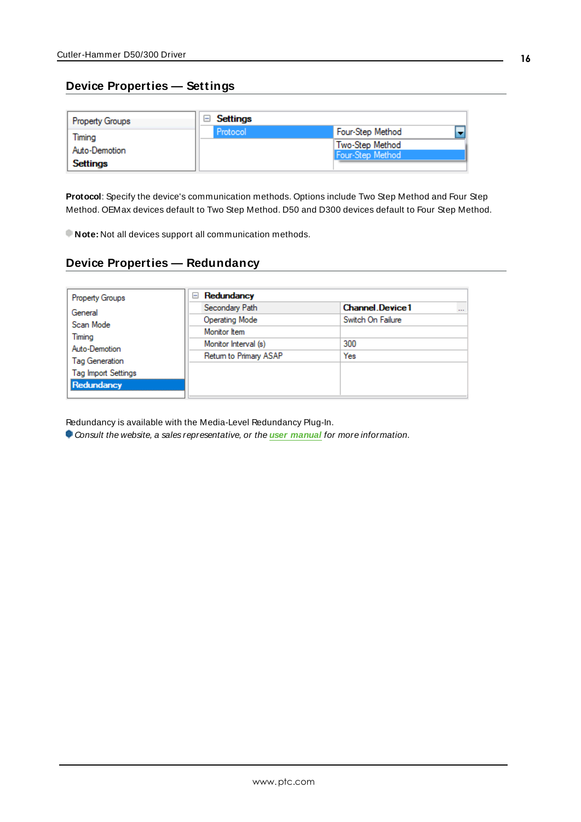# <span id="page-15-0"></span>**Device Properties — Settings**

| <b>Property Groups</b> | $\Box$ Settings |                  |
|------------------------|-----------------|------------------|
| Timina                 | Protocol        | Four-Step Method |
| Auto-Demotion          |                 | Two-Step Method  |
| Settings               |                 | Four-Step Method |

<span id="page-15-2"></span>**Protocol**: Specify the device's communication methods. Options include Two Step Method and Four Step Method. OEMax devices default to Two Step Method. D50 and D300 devices default to Four Step Method.

<span id="page-15-1"></span>**Note:** Not all devices support all communication methods.

## **Device Properties — Redundancy**

| <b>Property Groups</b>          | Redundancy<br>$=$      |                                    |  |
|---------------------------------|------------------------|------------------------------------|--|
| General<br>Scan Mode<br>Timing  | Secondary Path         | <b>Channel Device1</b><br>$\cdots$ |  |
|                                 | <b>Operating Mode</b>  | Switch On Failure                  |  |
|                                 | Monitor Item           |                                    |  |
|                                 | Monitor Interval (s)   | 300                                |  |
| Auto-Demotion<br>Tag Generation | Return to Primary ASAP | Yes                                |  |
| <b>Tag Import Settings</b>      |                        |                                    |  |
| Redundancy                      |                        |                                    |  |
|                                 |                        |                                    |  |

Redundancy is available with the Media-Level Redundancy Plug-In.

Consult the website, a sales representative, or the **user [manual](https://www.kepware.com/getattachment/35461efd-b53a-4219-a109-a89fad20b230/media-level-redundancy-manual.pdf)** for more information.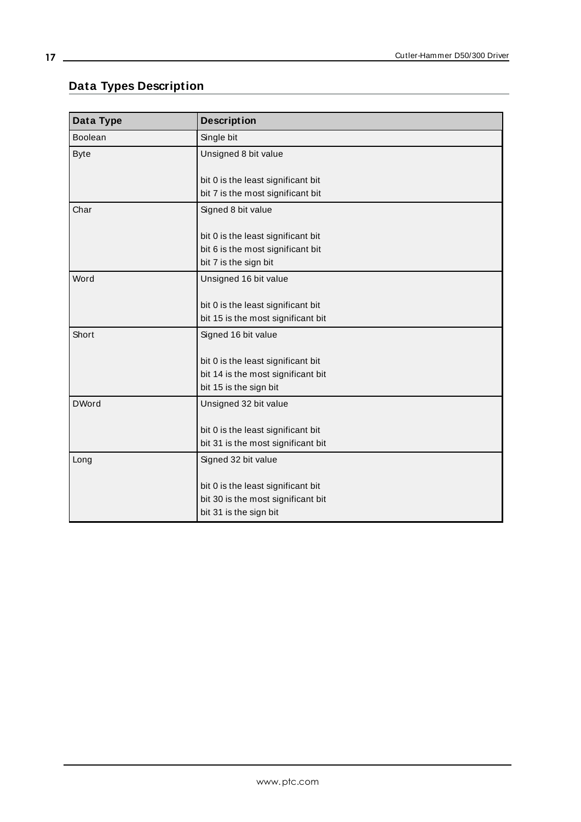# <span id="page-16-0"></span>**Data Types Description**

<span id="page-16-7"></span><span id="page-16-6"></span><span id="page-16-5"></span><span id="page-16-4"></span><span id="page-16-3"></span><span id="page-16-2"></span><span id="page-16-1"></span>

| Data Type      | <b>Description</b>                 |
|----------------|------------------------------------|
| <b>Boolean</b> | Single bit                         |
| <b>Byte</b>    | Unsigned 8 bit value               |
|                |                                    |
|                | bit 0 is the least significant bit |
|                | bit 7 is the most significant bit  |
| Char           | Signed 8 bit value                 |
|                |                                    |
|                | bit 0 is the least significant bit |
|                | bit 6 is the most significant bit  |
|                | bit 7 is the sign bit              |
| Word           | Unsigned 16 bit value              |
|                |                                    |
|                | bit 0 is the least significant bit |
|                | bit 15 is the most significant bit |
| Short          | Signed 16 bit value                |
|                |                                    |
|                | bit 0 is the least significant bit |
|                | bit 14 is the most significant bit |
|                | bit 15 is the sign bit             |
| <b>DWord</b>   | Unsigned 32 bit value              |
|                |                                    |
|                | bit 0 is the least significant bit |
|                | bit 31 is the most significant bit |
| Long           | Signed 32 bit value                |
|                |                                    |
|                | bit 0 is the least significant bit |
|                | bit 30 is the most significant bit |
|                | bit 31 is the sign bit             |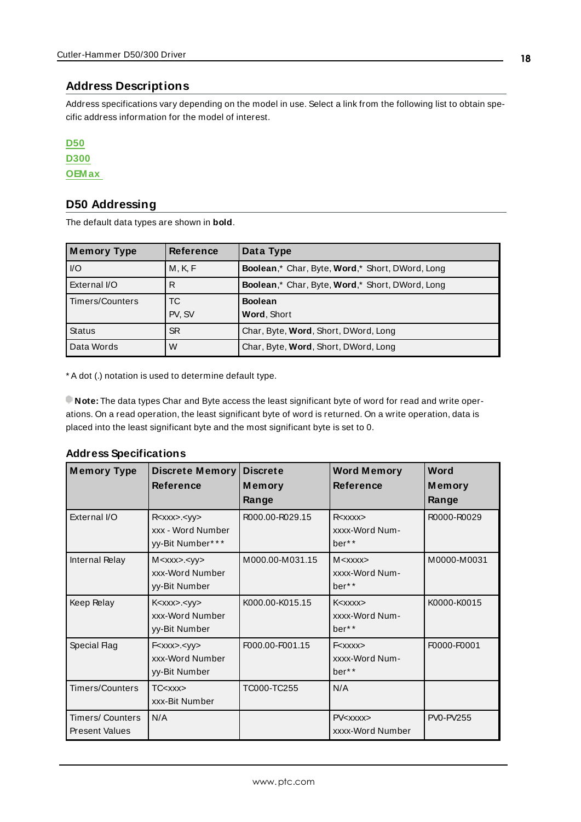## <span id="page-17-0"></span>**Address Descriptions**

Address specifications vary depending on the model in use. Select a link from the following list to obtain specific address information for the model of interest.

**[D50](#page-17-1) [D300](#page-18-0) [OEM ax](#page-19-0)**

## <span id="page-17-1"></span>**D50 Addressing**

The default data types are shown in **bold**.

<span id="page-17-10"></span><span id="page-17-4"></span><span id="page-17-3"></span>

| <b>Memory Type</b> | <b>Reference</b> | Data Type                                              |  |
|--------------------|------------------|--------------------------------------------------------|--|
| $ $ I/O            | M, K, F          | <b>Boolean,*</b> Char, Byte, Word,* Short, DWord, Long |  |
| External I/O       | R                | <b>Boolean,*</b> Char, Byte, Word,* Short, DWord, Long |  |
| Timers/Counters    | ТC               | <b>Boolean</b>                                         |  |
|                    | PV. SV           | Word, Short                                            |  |
| <b>Status</b>      | <b>SR</b>        | Char, Byte, Word, Short, DWord, Long                   |  |
| Data Words         | W                | Char, Byte, Word, Short, DWord, Long                   |  |

<span id="page-17-9"></span><span id="page-17-2"></span>\* A dot (.) notation is used to determine default type.

**Note:** The data types Char and Byte access the least significant byte of word for read and write operations. On a read operation, the least significant byte of word is returned. On a write operation, data is placed into the least significant byte and the most significant byte is set to 0.

#### **Address Specifications**

<span id="page-17-8"></span><span id="page-17-7"></span><span id="page-17-6"></span><span id="page-17-5"></span>

| <b>Memory Type</b>                              | Discrete Memory<br><b>Reference</b>                             | <b>Discrete</b><br>Memory<br>Range | <b>Word Memory</b><br><b>Reference</b>       | Word<br>Memory<br>Range |
|-------------------------------------------------|-----------------------------------------------------------------|------------------------------------|----------------------------------------------|-------------------------|
| External I/O                                    | R < x x x > . < y y ><br>xxx - Word Number<br>yy-Bit Number***  | R000.00-R029.15                    | R < x x x x ><br>xxxx-Word Num-<br>ber**     | R0000-R0029             |
| Internal Relay                                  | M <xxx>.<yy><br/>xxx-Word Number<br/>yy-Bit Number</yy></xxx>   | M000.00-M031.15                    | $M <$ xxxx $>$<br>xxxx-Word Num-<br>ber**    | M0000-M0031             |
| Keep Relay                                      | K < XXX > . < YY ><br>xxx-Word Number<br>yy-Bit Number          | K000.00-K015.15                    | K <xxxx><br/>xxxx-Word Num-<br/>ber**</xxxx> | K0000-K0015             |
| Special Flag                                    | $Fx$ $xx$ $x$ $-x$ $yy$ $>$<br>xxx-Word Number<br>yy-Bit Number | F000.00-F001.15                    | Fxxxx<br>xxxx-Word Num-<br>ber**             | F0000-F0001             |
| <b>Timers/Counters</b>                          | $TC<$ $<$ $XX$ $>$<br>xxx-Bit Number                            | TC000-TC255                        | N/A                                          |                         |
| <b>Timers/Counters</b><br><b>Present Values</b> | N/A                                                             |                                    | PV < xxxx<br>xxxx-Word Number                | <b>PV0-PV255</b>        |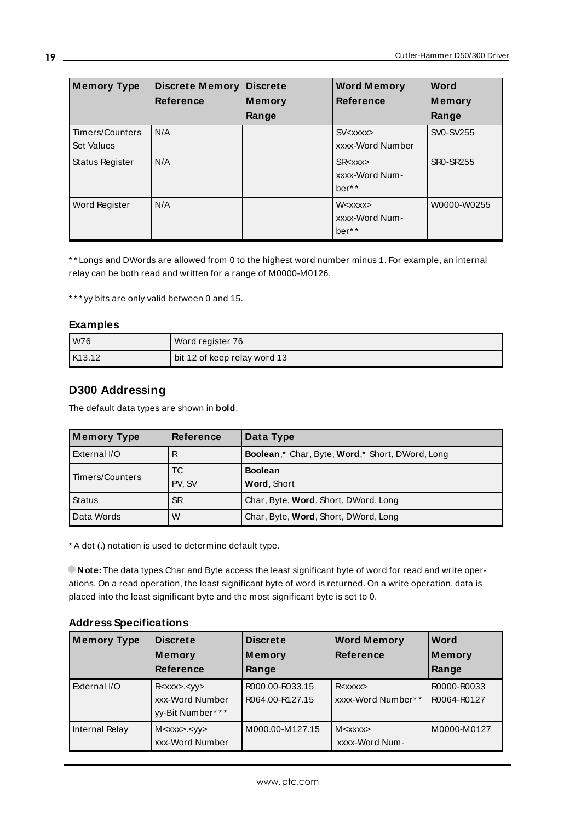<span id="page-18-1"></span>

| <b>Memory Type</b>            | <b>Discrete Memory</b><br><b>Reference</b> | <b>Discrete</b><br>Memory<br>Range | <b>Word Memory</b><br><b>Reference</b>        | Word<br>Memory<br>Range |
|-------------------------------|--------------------------------------------|------------------------------------|-----------------------------------------------|-------------------------|
| Timers/Counters<br>Set Values | N/A                                        |                                    | $SV<$ $xxxx$<br>xxxx-Word Number              | SV0-SV255               |
| <b>Status Register</b>        | N/A                                        |                                    | $S$ R< $x$ $x$ $x$<br>xxxx-Word Num-<br>ber** | SR0-SR255               |
| Word Register                 | N/A                                        |                                    | $W<$ xxxx $>$<br>xxxx-Word Num-<br>ber**      | W0000-W0255             |

<span id="page-18-2"></span>\* \* Longs and DWords are allowed from 0 to the highest word number minus 1. For example, an internal relay can be both read and written for a range of M0000-M0126.

\* \* \* yy bits are only valid between 0 and 15.

#### **Examples**

| W76      | Word register 76             |
|----------|------------------------------|
| l K13.12 | bit 12 of keep relay word 13 |

# <span id="page-18-0"></span>**D300 Addressing**

The default data types are shown in **bold**.

| <b>Memory Type</b> | <b>Reference</b> | Data Type                                              |
|--------------------|------------------|--------------------------------------------------------|
| External I/O       | R                | <b>Boolean,*</b> Char, Byte, Word,* Short, DWord, Long |
| Timers/Counters    | ТC<br>PV. SV     | <b>Boolean</b><br><b>Word, Short</b>                   |
| <b>Status</b>      | <b>SR</b>        | Char, Byte, Word, Short, DWord, Long                   |
| Data Words         | W                | Char, Byte, Word, Short, DWord, Long                   |

\* A dot (.) notation is used to determine default type.

**Note:** The data types Char and Byte access the least significant byte of word for read and write operations. On a read operation, the least significant byte of word is returned. On a write operation, data is placed into the least significant byte and the most significant byte is set to 0.

| <b>Memory Type</b> | <b>Discrete</b>                                           | <b>Discrete</b>                    | <b>Word Memory</b>                      | Word                       |
|--------------------|-----------------------------------------------------------|------------------------------------|-----------------------------------------|----------------------------|
|                    | Memory                                                    | Memory                             | Reference                               | Memory                     |
|                    | <b>Reference</b>                                          | Range                              |                                         | Range                      |
| External I/O       | R < XXX > . < YY ><br>xxx-Word Number<br>yy-Bit Number*** | R000.00-R033.15<br>R064.00-R127.15 | $R <$ $xxxx$<br>xxxx-Word Number**      | R0000-R0033<br>R0064-R0127 |
|                    |                                                           |                                    |                                         |                            |
| Internal Relay     | $M <$ xxx>. $<$ yy><br>xxx-Word Number                    | M000.00-M127.15                    | $M <$ $x$ $x$ $x$ $x$<br>xxxx-Word Num- | M0000-M0127                |

## **Address Specifications**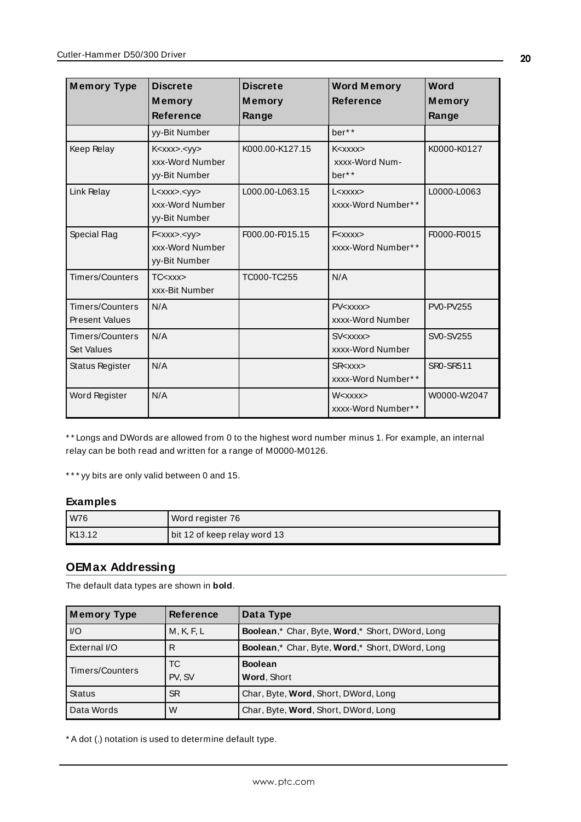| <b>Memory Type</b>                       | <b>Discrete</b><br>Memory<br><b>Reference</b>                 | <b>Discrete</b><br>Memory<br>Range | <b>Word Memory</b><br><b>Reference</b>       | Word<br>Memory<br>Range |
|------------------------------------------|---------------------------------------------------------------|------------------------------------|----------------------------------------------|-------------------------|
|                                          | yy-Bit Number                                                 |                                    | ber**                                        |                         |
| Keep Relay                               | K <xxx>.<yy><br/>xxx-Word Number<br/>yy-Bit Number</yy></xxx> | K000.00-K127.15                    | K <xxxx><br/>xxxx-Word Num-<br/>ber**</xxxx> | K0000-K0127             |
| Link Relay                               | $L <$ xxx>. $<$ yy><br>xxx-Word Number<br>yy-Bit Number       | L000.00-L063.15                    | L <xxxx><br/>xxxx-Word Number**</xxxx>       | L0000-L0063             |
| Special Flag                             | Fxxx> <yy><br/>xxx-Word Number<br/>yy-Bit Number</yy>         | F000.00-F015.15                    | Fxxxx<br>xxxx-Word Number**                  | F0000-F0015             |
| <b>Timers/Counters</b>                   | $TC<$ $xxxx$<br>xxx-Bit Number                                | TC000-TC255                        | N/A                                          |                         |
| Timers/Counters<br><b>Present Values</b> | N/A                                                           |                                    | $PV <$ $xxx$ $x$<br>xxxx-Word Number         | <b>PV0-PV255</b>        |
| Timers/Counters<br>Set Values            | N/A                                                           |                                    | $SV<$ xxxx><br>xxxx-Word Number              | SV0-SV255               |
| Status Register                          | N/A                                                           |                                    | $S$ R< $x$ $x$ $x$<br>xxxx-Word Number**     | SR0-SR511               |
| Word Register                            | N/A                                                           |                                    | W <xxxx><br/>xxxx-Word Number**</xxxx>       | W0000-W2047             |

\* \* Longs and DWords are allowed from 0 to the highest word number minus 1. For example, an internal relay can be both read and written for a range of M0000-M0126.

\*\*\* yy bits are only valid between 0 and 15.

## **Examples**

| W76    | Word register 76             |
|--------|------------------------------|
| K13.12 | bit 12 of keep relay word 13 |

# <span id="page-19-0"></span>**OEMax Addressing**

The default data types are shown in **bold**.

<span id="page-19-6"></span><span id="page-19-4"></span><span id="page-19-3"></span><span id="page-19-2"></span>

| <b>Memory Type</b> | <b>Reference</b> | Data Type                                              |  |
|--------------------|------------------|--------------------------------------------------------|--|
| $U$                | M, K, F, L       | Boolean,* Char, Byte, Word,* Short, DWord, Long        |  |
| External I/O       | R                | <b>Boolean,*</b> Char, Byte, Word,* Short, DWord, Long |  |
| Timers/Counters    | ТC               | <b>Boolean</b>                                         |  |
|                    | PV. SV           | <b>Word, Short</b>                                     |  |
| <b>Status</b>      | <b>SR</b>        | Char, Byte, Word, Short, DWord, Long                   |  |
| Data Words         | W                | Char, Byte, Word, Short, DWord, Long                   |  |

<span id="page-19-5"></span><span id="page-19-1"></span>\* A dot (.) notation is used to determine default type.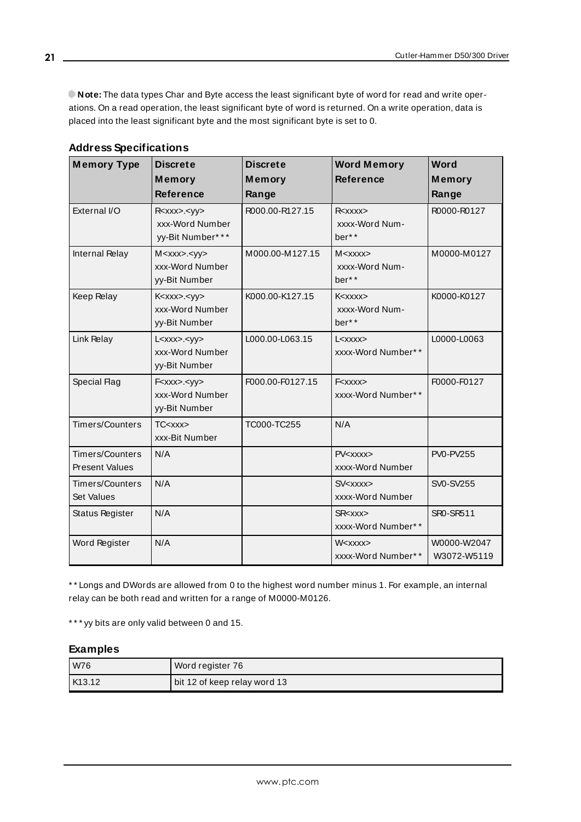**Note:** The data types Char and Byte access the least significant byte of word for read and write operations. On a read operation, the least significant byte of word is returned. On a write operation, data is placed into the least significant byte and the most significant byte is set to 0.

<span id="page-20-5"></span><span id="page-20-2"></span><span id="page-20-1"></span><span id="page-20-0"></span>

| <b>Memory Type</b>                       | <b>Discrete</b><br>Memory                                     | <b>Discrete</b><br>Memory | <b>Word Memory</b><br>Reference              | Word<br>Memory             |
|------------------------------------------|---------------------------------------------------------------|---------------------------|----------------------------------------------|----------------------------|
|                                          | <b>Reference</b>                                              | Range                     |                                              | Range                      |
| External I/O                             | Rxxx > <y y=""><br/>xxx-Word Number<br/>yy-Bit Number***</y>  | R000.00-R127.15           | R < x x x x ><br>xxxx-Word Num-<br>ber**     | R0000-R0127                |
| <b>Internal Relay</b>                    | M <xxx>.<yy><br/>xxx-Word Number<br/>yy-Bit Number</yy></xxx> | M000.00-M127.15           | $M <$ $XXX>$<br>xxxx-Word Num-<br>ber**      | M0000-M0127                |
| Keep Relay                               | K <xxx>.<yy><br/>xxx-Word Number<br/>yy-Bit Number</yy></xxx> | K000.00-K127.15           | K <xxxx><br/>xxxx-Word Num-<br/>ber**</xxxx> | K0000-K0127                |
| Link Relay                               | L <xxx>.<yy><br/>xxx-Word Number<br/>yy-Bit Number</yy></xxx> | L000.00-L063.15           | L <xxxx><br/>xxxx-Word Number**</xxxx>       | L0000-L0063                |
| Special Flag                             | Fxxx> <yy><br/>xxx-Word Number<br/>yy-Bit Number</yy>         | F000.00-F0127.15          | Fxxxx<br>xxxx-Word Number**                  | F0000-F0127                |
| Timers/Counters                          | $TC<$ $xxx$<br>xxx-Bit Number                                 | TC000-TC255               | N/A                                          |                            |
| Timers/Counters<br><b>Present Values</b> | N/A                                                           |                           | PV < xxxx<br>xxxx-Word Number                | <b>PV0-PV255</b>           |
| <b>Timers/Counters</b><br>Set Values     | N/A                                                           |                           | $SV<$ xxxx><br>xxxx-Word Number              | <b>SV0-SV255</b>           |
| Status Register                          | N/A                                                           |                           | $S$ R $<$ xxx $>$<br>xxxx-Word Number**      | SR0-SR511                  |
| Word Register                            | N/A                                                           |                           | W <xxxx><br/>xxxx-Word Number**</xxxx>       | W0000-W2047<br>W3072-W5119 |

#### **Address Specifications**

<span id="page-20-7"></span><span id="page-20-6"></span><span id="page-20-4"></span><span id="page-20-3"></span>\* \* Longs and DWords are allowed from 0 to the highest word number minus 1. For example, an internal relay can be both read and written for a range of M0000-M0126.

\*\*\* yy bits are only valid between 0 and 15.

#### **Examples**

| l W76  | Word register 76             |
|--------|------------------------------|
| K13.12 | bit 12 of keep relay word 13 |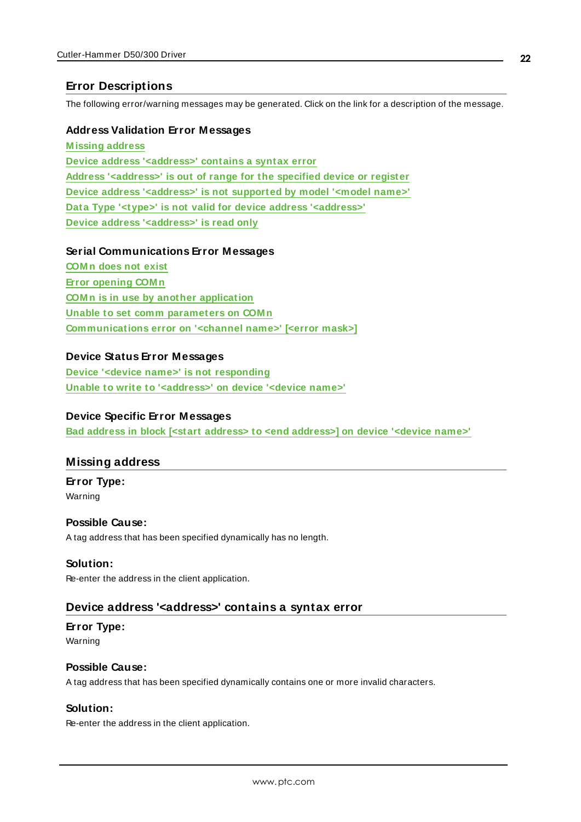# <span id="page-21-0"></span>**Error Descriptions**

The following error/warning messages may be generated. Click on the link for a description of the message.

#### **Address Validation Error Messages**

**[M issing](#page-21-1) address Device address ['<address>'](#page-21-2) contains a syntax error Address ['<address>'](#page-22-0) is out of range for the specified device or register Device address ['<address>'](#page-22-1) is not supported by model '<model name>' Data Type '<type>' is not valid for device address ['<address>'](#page-22-2) Device address ['<address>'](#page-22-3) is read only**

#### **Serial Communications Error Messages**

**[COM n](#page-23-0) does not exist Error [opening](#page-23-1) COM n COM n is in use by another [application](#page-23-2) Unable to set comm [parameters](#page-23-3) on COM n [Communications](#page-23-4) error on '<channel name>' [<error mask>]**

#### **Device Status Error Messages**

**Device '<device name>' is not [responding](#page-24-0) Unable to write to ['<address>'](#page-24-1) on device '<device name>'**

#### **Device Specific Error Messages**

<span id="page-21-1"></span>**Bad address in block [<start address> to <end [address>\]](#page-25-0) on device '<device name>'**

### **Missing address**

# **Error Type:**

Warning

#### **Possible Cause:**

A tag address that has been specified dynamically has no length.

#### **Solution:**

<span id="page-21-2"></span>Re-enter the address in the client application.

## **Device address '<address>' contains a syntax error**

## **Error Type:**

Warning

## **Possible Cause:**

A tag address that has been specified dynamically contains one or more invalid characters.

### **Solution:**

Re-enter the address in the client application.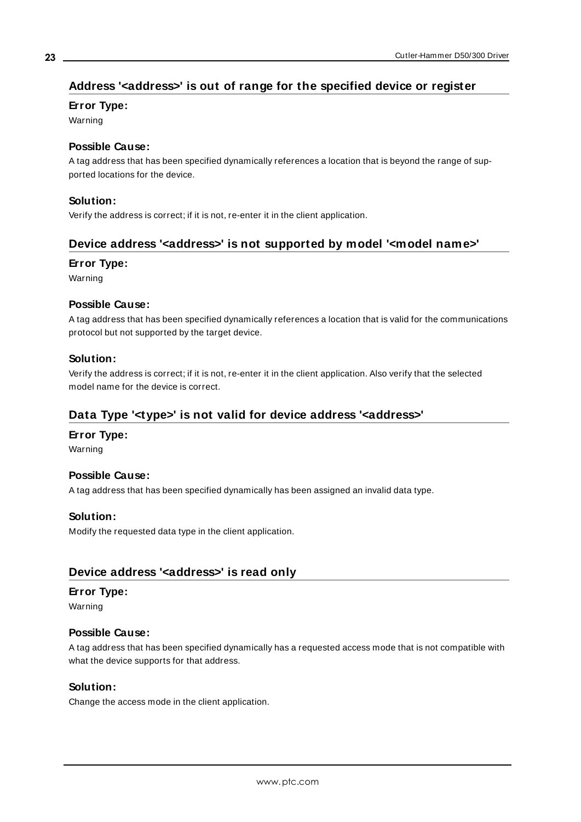# <span id="page-22-0"></span>**Address '<address>' is out of range for the specified device or register**

## **Error Type:**

Warning

## **Possible Cause:**

A tag address that has been specified dynamically references a location that is beyond the range of supported locations for the device.

#### **Solution:**

<span id="page-22-1"></span>Verify the address is correct; if it is not, re-enter it in the client application.

# **Device address '<address>' is not supported by model '<model name>'**

#### **Error Type:**

Warning

#### **Possible Cause:**

A tag address that has been specified dynamically references a location that is valid for the communications protocol but not supported by the target device.

#### **Solution:**

Verify the address is correct; if it is not, re-enter it in the client application. Also verify that the selected model name for the device is correct.

# <span id="page-22-2"></span>**Data Type '<type>' is not valid for device address '<address>'**

#### **Error Type:**

Warning

## **Possible Cause:**

A tag address that has been specified dynamically has been assigned an invalid data type.

#### **Solution:**

Modify the requested data type in the client application.

## <span id="page-22-3"></span>**Device address '<address>' is read only**

#### **Error Type:**

Warning

#### **Possible Cause:**

A tag address that has been specified dynamically has a requested access mode that is not compatible with what the device supports for that address.

#### **Solution:**

Change the access mode in the client application.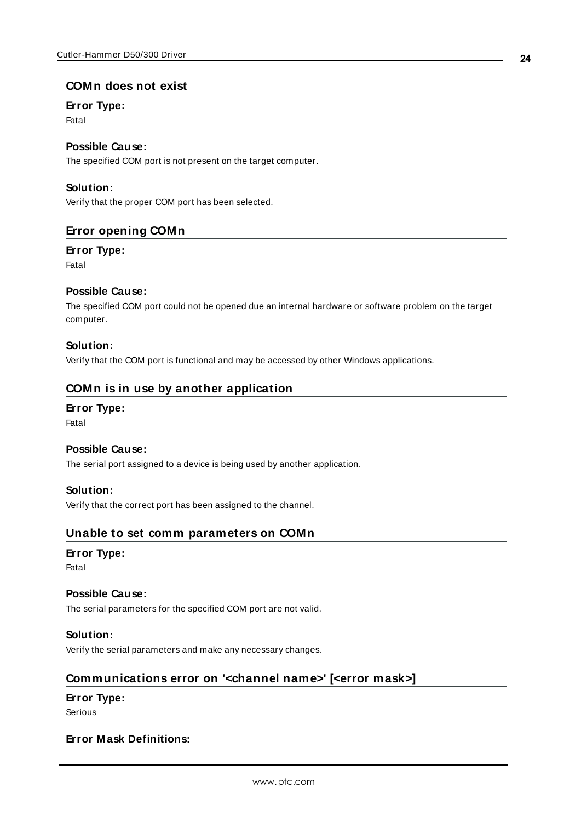#### <span id="page-23-0"></span>**COMn does not exist**

#### **Error Type:**

Fatal

## **Possible Cause:**

The specified COM port is not present on the target computer.

#### **Solution:**

<span id="page-23-1"></span>Verify that the proper COM port has been selected.

# **Error opening COMn**

#### **Error Type:**

Fatal

#### **Possible Cause:**

The specified COM port could not be opened due an internal hardware or software problem on the target computer.

#### **Solution:**

<span id="page-23-2"></span>Verify that the COM port is functional and may be accessed by other Windows applications.

#### **COMn is in use by another application**

#### **Error Type:**

Fatal

#### **Possible Cause:**

The serial port assigned to a device is being used by another application.

#### **Solution:**

<span id="page-23-3"></span>Verify that the correct port has been assigned to the channel.

#### **Unable to set comm parameters on COMn**

## **Error Type:**

Fatal

#### **Possible Cause:**

The serial parameters for the specified COM port are not valid.

#### **Solution:**

<span id="page-23-4"></span>Verify the serial parameters and make any necessary changes.

## **Communications error on '<channel name>' [<error mask>]**

#### **Error Type:**

Serious

#### **Error Mask Definitions:**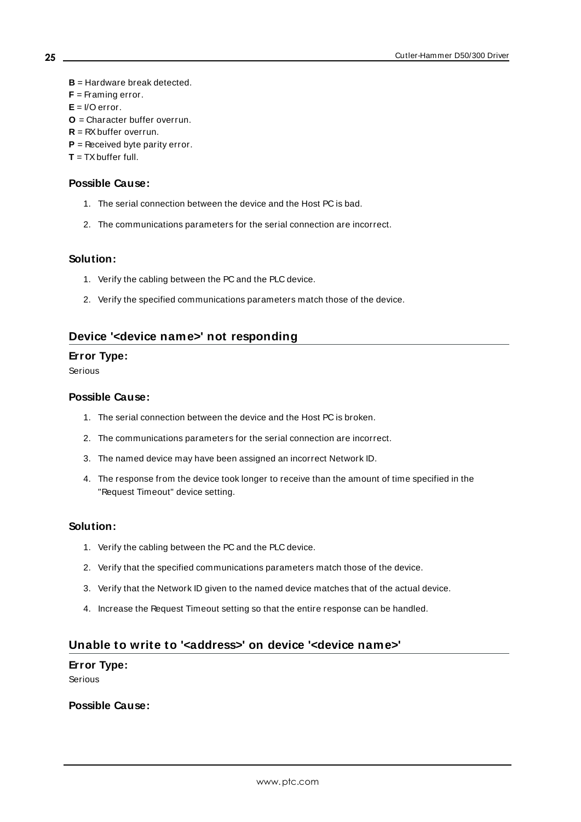- <span id="page-24-2"></span>**B** = Hardware break detected.
- **F** = Framing error.
- <span id="page-24-3"></span> $E = I/O$  error.
- **O** = Character buffer overrun.
- <span id="page-24-4"></span> $R = RX$  buffer overrun.
- **P** = Received byte parity error.
- **T** = TXbuffer full.

#### **Possible Cause:**

- 1. The serial connection between the device and the Host PC is bad.
- 2. The communications parameters for the serial connection are incorrect.

#### **Solution:**

- 1. Verify the cabling between the PC and the PLC device.
- 2. Verify the specified communications parameters match those of the device.

# <span id="page-24-0"></span>**Device '<device name>' not responding**

#### **Error Type:**

Serious

#### **Possible Cause:**

- 1. The serial connection between the device and the Host PC is broken.
- 2. The communications parameters for the serial connection are incorrect.
- 3. The named device may have been assigned an incorrect Network ID.
- 4. The response from the device took longer to receive than the amount of time specified in the "Request Timeout" device setting.

#### **Solution:**

- 1. Verify the cabling between the PC and the PLC device.
- 2. Verify that the specified communications parameters match those of the device.
- 3. Verify that the Network ID given to the named device matches that of the actual device.
- 4. Increase the Request Timeout setting so that the entire response can be handled.

# <span id="page-24-1"></span>**Unable to write to '<address>' on device '<device name>'**

#### **Error Type:**

Serious

## **Possible Cause:**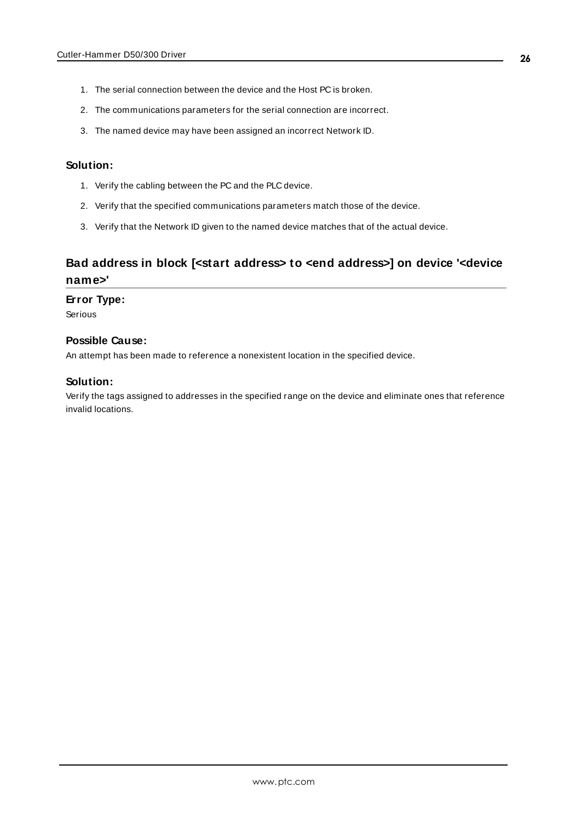- 1. The serial connection between the device and the Host PC is broken.
- 2. The communications parameters for the serial connection are incorrect.
- 3. The named device may have been assigned an incorrect Network ID.

#### **Solution:**

- 1. Verify the cabling between the PC and the PLC device.
- 2. Verify that the specified communications parameters match those of the device.
- 3. Verify that the Network ID given to the named device matches that of the actual device.

# <span id="page-25-0"></span>**Bad address in block [<start address> to <end address>] on device '<device name>'**

#### **Error Type:**

Serious

# **Possible Cause:**

An attempt has been made to reference a nonexistent location in the specified device.

# **Solution:**

Verify the tags assigned to addresses in the specified range on the device and eliminate ones that reference invalid locations.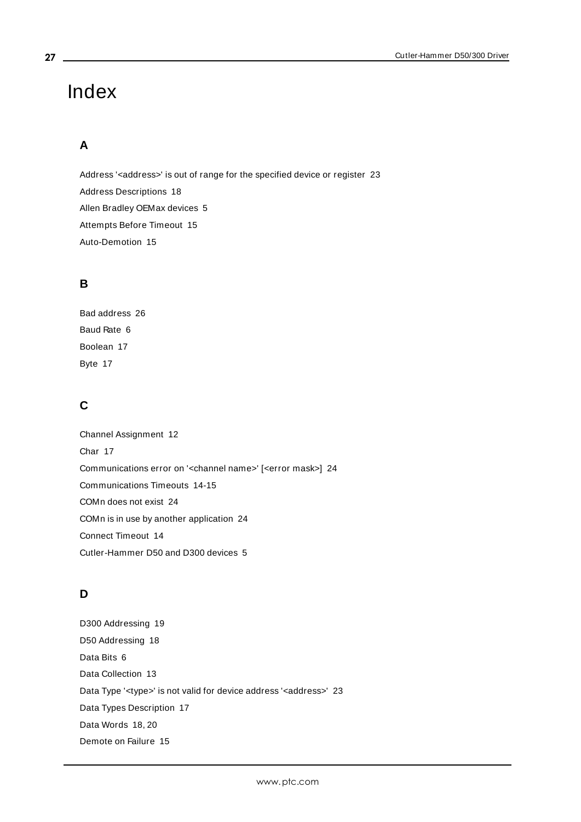# <span id="page-26-0"></span>Index

# **A**

Address '<address>' is out of range for the specified device or register [23](#page-22-0) Address Descriptions [18](#page-17-0) Allen Bradley OEMax devices [5](#page-4-1) Attempts Before Timeout [15](#page-14-1) Auto-Demotion [15](#page-14-0)

# **B**

Bad address [26](#page-25-0) Baud Rate [6](#page-5-1) Boolean [17](#page-16-1) Byte [17](#page-16-2)

# **C**

Channel Assignment [12](#page-11-1) Char [17](#page-16-3) Communications error on '<channel name>' [<error mask>] [24](#page-23-4) Communications Timeouts [14-15](#page-13-1) COMn does not exist [24](#page-23-0) COMn is in use by another application [24](#page-23-2) Connect Timeout [14](#page-13-2) Cutler-Hammer D50 and D300 devices [5](#page-4-1)

# **D**

D300 Addressing [19](#page-18-0) D50 Addressing [18](#page-17-1) Data Bits [6](#page-5-2) Data Collection [13](#page-12-2) Data Type '<type>' is not valid for device address '<address>' [23](#page-22-2) Data Types Description [17](#page-16-0) Data Words [18](#page-17-2), [20](#page-19-1) Demote on Failure [15](#page-14-2)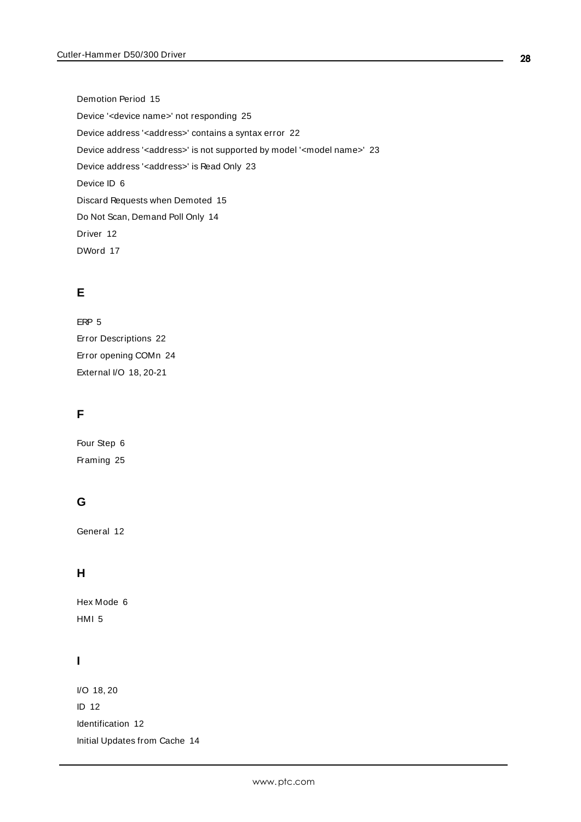Demotion Period [15](#page-14-3) Device '<device name>' not responding [25](#page-24-0) Device address '< address>' contains a syntax error [22](#page-21-2) Device address '< address>' is not supported by model '< model name>' [23](#page-22-1) Device address '<address>' is Read Only [23](#page-22-3) Device ID [6](#page-5-3) Discard Requests when Demoted [15](#page-14-4) Do Not Scan, Demand Poll Only [14](#page-13-3) Driver [12](#page-11-2) DWord [17](#page-16-4)

# **E**

ERP [5](#page-4-1) Error Descriptions [22](#page-21-0) Error opening COMn [24](#page-23-1) External I/O [18](#page-17-3), [20-21](#page-19-2)

# **F**

Four Step [6](#page-5-4) Framing [25](#page-24-2)

# **G**

General [12](#page-11-0)

# **H**

Hex Mode [6](#page-5-4) HMI [5](#page-4-1)

# **I**

I/O [18,](#page-17-4) [20](#page-19-3) ID [12](#page-11-3) Identification [12](#page-11-0) Initial Updates from Cache [14](#page-13-4)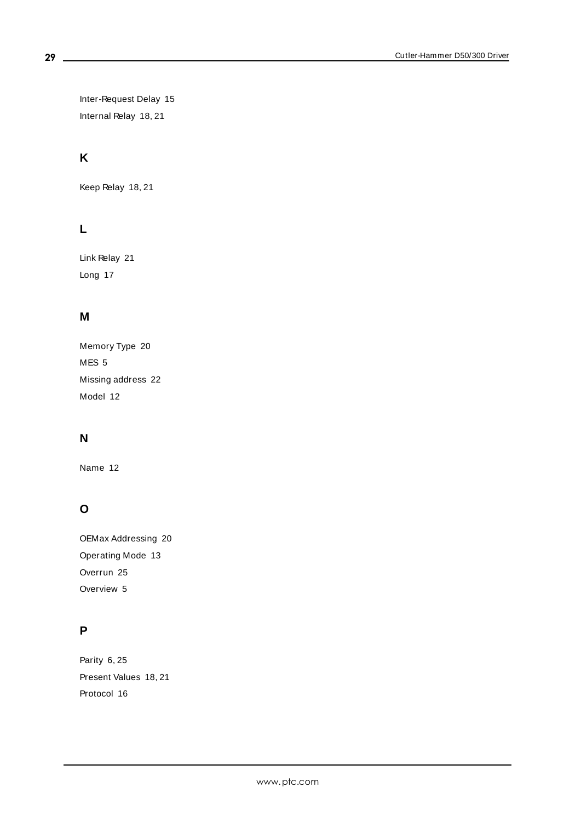Inter-Request Delay [15](#page-14-5) Internal Relay [18,](#page-17-5) [21](#page-20-0)

# **K**

Keep Relay [18](#page-17-6), [21](#page-20-1)

# **L**

Link Relay [21](#page-20-2) Long [17](#page-16-5)

# **M**

| Memory Type 20     |
|--------------------|
| MES <sub>5</sub>   |
| Missing address 22 |
| Model 12           |

# **N**

Name [12](#page-11-5)

# **O**

OEMax Addressing [20](#page-19-0) Operating Mode [13](#page-12-0) Overrun [25](#page-24-3) Overview [5](#page-4-0)

# **P**

Parity [6,](#page-5-5) [25](#page-24-4) Present Values [18](#page-17-7), [21](#page-20-3) Protocol [16](#page-15-2)